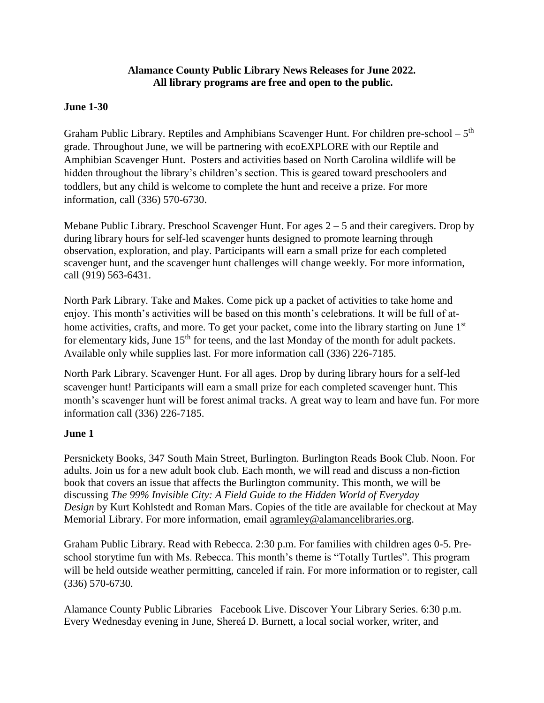#### **Alamance County Public Library News Releases for June 2022. All library programs are free and open to the public.**

#### **June 1-30**

Graham Public Library. Reptiles and Amphibians Scavenger Hunt. For children pre-school –  $5<sup>th</sup>$ grade. Throughout June, we will be partnering with ecoEXPLORE with our Reptile and Amphibian Scavenger Hunt. Posters and activities based on North Carolina wildlife will be hidden throughout the library's children's section. This is geared toward preschoolers and toddlers, but any child is welcome to complete the hunt and receive a prize. For more information, call (336) 570-6730.

Mebane Public Library. Preschool Scavenger Hunt. For ages 2 – 5 and their caregivers. Drop by during library hours for self-led scavenger hunts designed to promote learning through observation, exploration, and play. Participants will earn a small prize for each completed scavenger hunt, and the scavenger hunt challenges will change weekly. For more information, call (919) 563-6431.

North Park Library. Take and Makes. Come pick up a packet of activities to take home and enjoy. This month's activities will be based on this month's celebrations. It will be full of athome activities, crafts, and more. To get your packet, come into the library starting on June 1<sup>st</sup> for elementary kids, June  $15<sup>th</sup>$  for teens, and the last Monday of the month for adult packets. Available only while supplies last. For more information call (336) 226-7185.

North Park Library. Scavenger Hunt. For all ages. Drop by during library hours for a self-led scavenger hunt! Participants will earn a small prize for each completed scavenger hunt. This month's scavenger hunt will be forest animal tracks. A great way to learn and have fun. For more information call (336) 226-7185.

#### **June 1**

Persnickety Books, 347 South Main Street, Burlington. Burlington Reads Book Club. Noon. For adults. Join us for a new adult book club. Each month, we will read and discuss a non-fiction book that covers an issue that affects the Burlington community. This month, we will be discussing *The 99% Invisible City: A Field Guide to the Hidden World of Everyday Design* by Kurt Kohlstedt and Roman Mars. Copies of the title are available for checkout at May Memorial Library. For more information, email [agramley@alamancelibraries.org.](mailto:agramley@alamancelibraries.org)

Graham Public Library. Read with Rebecca. 2:30 p.m. For families with children ages 0-5. Preschool storytime fun with Ms. Rebecca. This month's theme is "Totally Turtles". This program will be held outside weather permitting, canceled if rain. For more information or to register, call (336) 570-6730.

Alamance County Public Libraries –Facebook Live. Discover Your Library Series. 6:30 p.m. Every Wednesday evening in June, Shereá D. Burnett, a local social worker, writer, and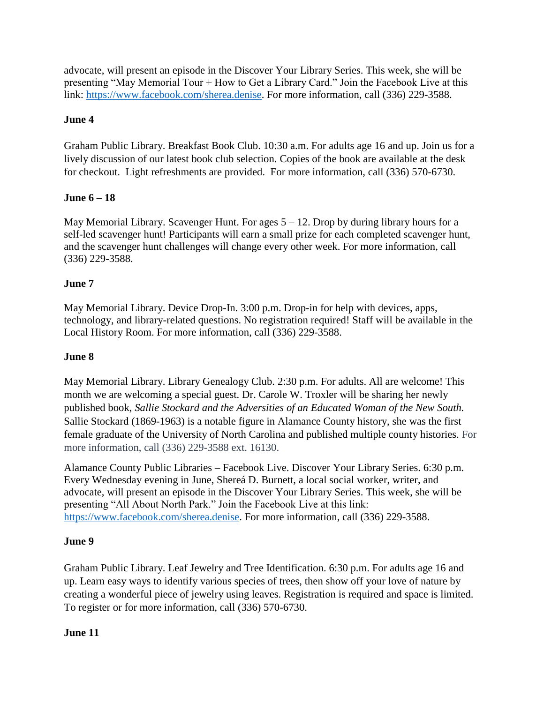advocate, will present an episode in the Discover Your Library Series. This week, she will be presenting "May Memorial Tour + How to Get a Library Card." Join the Facebook Live at this link: [https://www.facebook.com/sherea.denise.](https://www.facebook.com/sherea.denise) For more information, call (336) 229-3588.

# **June 4**

Graham Public Library. Breakfast Book Club. 10:30 a.m. For adults age 16 and up. Join us for a lively discussion of our latest book club selection. Copies of the book are available at the desk for checkout. Light refreshments are provided. For more information, call (336) 570-6730.

# **June 6 – 18**

May Memorial Library. Scavenger Hunt. For ages  $5 - 12$ . Drop by during library hours for a self-led scavenger hunt! Participants will earn a small prize for each completed scavenger hunt, and the scavenger hunt challenges will change every other week. For more information, call (336) 229-3588.

# **June 7**

May Memorial Library. Device Drop-In. 3:00 p.m. Drop-in for help with devices, apps, technology, and library-related questions. No registration required! Staff will be available in the Local History Room. For more information, call (336) 229-3588.

# **June 8**

May Memorial Library. Library Genealogy Club. 2:30 p.m. For adults. All are welcome! This month we are welcoming a special guest. Dr. Carole W. Troxler will be sharing her newly published book, *Sallie Stockard and the Adversities of an Educated Woman of the New South.*  Sallie Stockard (1869-1963) is a notable figure in Alamance County history, she was the first female graduate of the University of North Carolina and published multiple county histories. For more information, call (336) 229-3588 ext. 16130.

Alamance County Public Libraries – Facebook Live. Discover Your Library Series. 6:30 p.m. Every Wednesday evening in June, Shereá D. Burnett, a local social worker, writer, and advocate, will present an episode in the Discover Your Library Series. This week, she will be presenting "All About North Park." Join the Facebook Live at this link: [https://www.facebook.com/sherea.denise.](https://www.facebook.com/sherea.denise) For more information, call (336) 229-3588.

## **June 9**

Graham Public Library. Leaf Jewelry and Tree Identification. 6:30 p.m. For adults age 16 and up. Learn easy ways to identify various species of trees, then show off your love of nature by creating a wonderful piece of jewelry using leaves. Registration is required and space is limited. To register or for more information, call (336) 570-6730.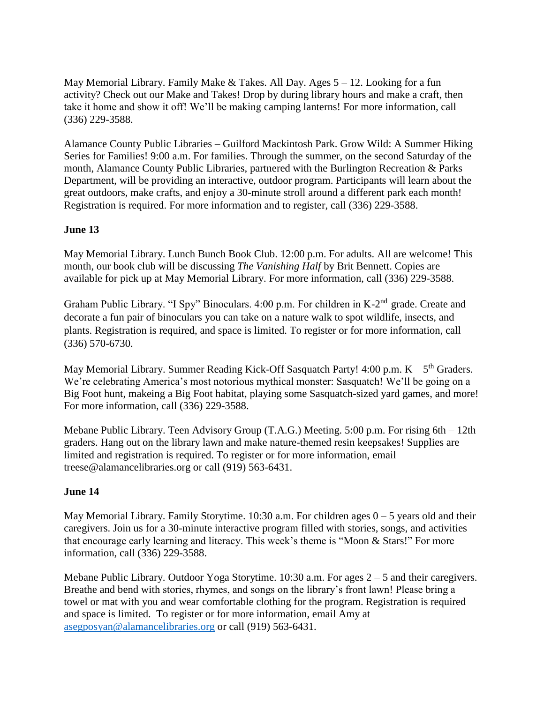May Memorial Library. Family Make  $&$  Takes. All Day. Ages  $5 - 12$ . Looking for a fun activity? Check out our Make and Takes! Drop by during library hours and make a craft, then take it home and show it off! We'll be making camping lanterns! For more information, call (336) 229-3588.

Alamance County Public Libraries – Guilford Mackintosh Park. Grow Wild: A Summer Hiking Series for Families! 9:00 a.m. For families. Through the summer, on the second Saturday of the month, Alamance County Public Libraries, partnered with the Burlington Recreation & Parks Department, will be providing an interactive, outdoor program. Participants will learn about the great outdoors, make crafts, and enjoy a 30-minute stroll around a different park each month! Registration is required. For more information and to register, call (336) 229-3588.

## **June 13**

May Memorial Library. Lunch Bunch Book Club. 12:00 p.m. For adults. All are welcome! This month, our book club will be discussing *The Vanishing Half* by Brit Bennett. Copies are available for pick up at May Memorial Library. For more information, call (336) 229-3588.

Graham Public Library. "I Spy" Binoculars. 4:00 p.m. For children in K-2<sup>nd</sup> grade. Create and decorate a fun pair of binoculars you can take on a nature walk to spot wildlife, insects, and plants. Registration is required, and space is limited. To register or for more information, call (336) 570-6730.

May Memorial Library. Summer Reading Kick-Off Sasquatch Party!  $4:00$  p.m.  $K - 5<sup>th</sup>$  Graders. We're celebrating America's most notorious mythical monster: Sasquatch! We'll be going on a Big Foot hunt, makeing a Big Foot habitat, playing some Sasquatch-sized yard games, and more! For more information, call (336) 229-3588.

Mebane Public Library. Teen Advisory Group (T.A.G.) Meeting. 5:00 p.m. For rising 6th – 12th graders. Hang out on the library lawn and make nature-themed resin keepsakes! Supplies are limited and registration is required. To register or for more information, email treese@alamancelibraries.org or call (919) 563-6431.

## **June 14**

May Memorial Library. Family Storytime. 10:30 a.m. For children ages  $0 - 5$  years old and their caregivers. Join us for a 30-minute interactive program filled with stories, songs, and activities that encourage early learning and literacy. This week's theme is "Moon & Stars!" For more information, call (336) 229-3588.

Mebane Public Library. Outdoor Yoga Storytime. 10:30 a.m. For ages 2 – 5 and their caregivers. Breathe and bend with stories, rhymes, and songs on the library's front lawn! Please bring a towel or mat with you and wear comfortable clothing for the program. Registration is required and space is limited. To register or for more information, email Amy at [asegposyan@alamancelibraries.org](mailto:asegposyan@alamancelibraries.org) or call (919) 563-6431.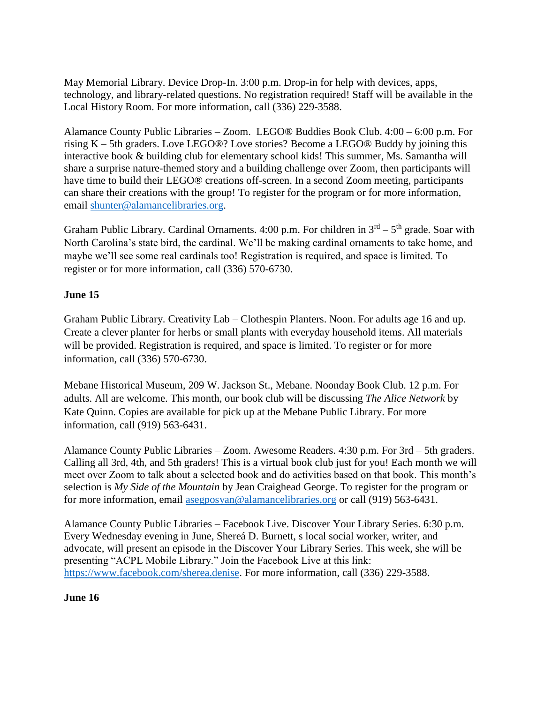May Memorial Library. Device Drop-In. 3:00 p.m. Drop-in for help with devices, apps, technology, and library-related questions. No registration required! Staff will be available in the Local History Room. For more information, call (336) 229-3588.

Alamance County Public Libraries – Zoom. LEGO® Buddies Book Club. 4:00 – 6:00 p.m. For rising K – 5th graders. Love LEGO®? Love stories? Become a LEGO® Buddy by joining this interactive book & building club for elementary school kids! This summer, Ms. Samantha will share a surprise nature-themed story and a building challenge over Zoom, then participants will have time to build their LEGO® creations off-screen. In a second Zoom meeting, participants can share their creations with the group! To register for the program or for more information, email [shunter@alamancelibraries.org.](mailto:shunter@alamancelibraries.org)

Graham Public Library. Cardinal Ornaments. 4:00 p.m. For children in  $3<sup>rd</sup> - 5<sup>th</sup>$  grade. Soar with North Carolina's state bird, the cardinal. We'll be making cardinal ornaments to take home, and maybe we'll see some real cardinals too! Registration is required, and space is limited. To register or for more information, call (336) 570-6730.

# **June 15**

Graham Public Library. Creativity Lab – Clothespin Planters. Noon. For adults age 16 and up. Create a clever planter for herbs or small plants with everyday household items. All materials will be provided. Registration is required, and space is limited. To register or for more information, call (336) 570-6730.

Mebane Historical Museum, 209 W. Jackson St., Mebane. Noonday Book Club. 12 p.m. For adults. All are welcome. This month, our book club will be discussing *The Alice Network* by Kate Quinn. Copies are available for pick up at the Mebane Public Library. For more information, call (919) 563-6431.

Alamance County Public Libraries – Zoom. Awesome Readers. 4:30 p.m. For 3rd – 5th graders. Calling all 3rd, 4th, and 5th graders! This is a virtual book club just for you! Each month we will meet over Zoom to talk about a selected book and do activities based on that book. This month's selection is *My Side of the Mountain* by Jean Craighead George. To register for the program or for more information, email [asegposyan@alamancelibraries.org](mailto:asegposyan@alamancelibraries.org) or call (919) 563-6431.

Alamance County Public Libraries – Facebook Live. Discover Your Library Series. 6:30 p.m. Every Wednesday evening in June, Shereá D. Burnett, s local social worker, writer, and advocate, will present an episode in the Discover Your Library Series. This week, she will be presenting "ACPL Mobile Library." Join the Facebook Live at this link: [https://www.facebook.com/sherea.denise.](https://www.facebook.com/sherea.denise) For more information, call (336) 229-3588.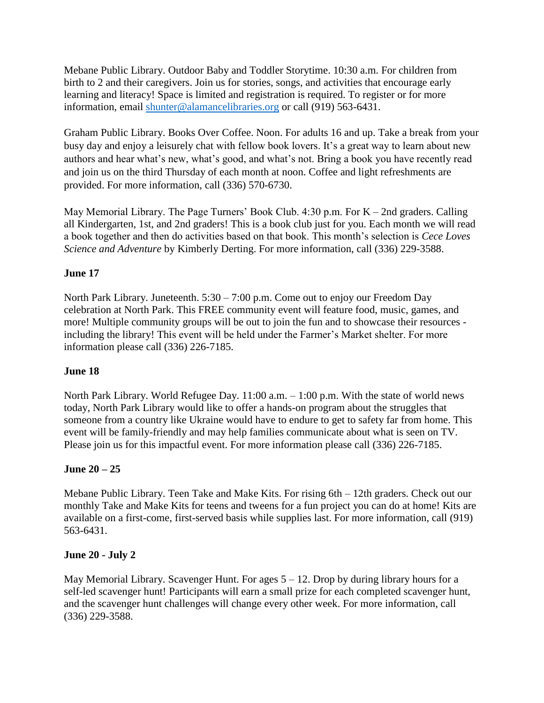Mebane Public Library. Outdoor Baby and Toddler Storytime. 10:30 a.m. For children from birth to 2 and their caregivers. Join us for stories, songs, and activities that encourage early learning and literacy! Space is limited and registration is required. To register or for more information, email [shunter@alamancelibraries.org](mailto:shunter@alamancelibraries.org) or call (919) 563-6431.

Graham Public Library. Books Over Coffee. Noon. For adults 16 and up. Take a break from your busy day and enjoy a leisurely chat with fellow book lovers. It's a great way to learn about new authors and hear what's new, what's good, and what's not. Bring a book you have recently read and join us on the third Thursday of each month at noon. Coffee and light refreshments are provided. For more information, call (336) 570-6730.

May Memorial Library. The Page Turners' Book Club.  $4:30$  p.m. For K – 2nd graders. Calling all Kindergarten, 1st, and 2nd graders! This is a book club just for you. Each month we will read a book together and then do activities based on that book. This month's selection is *Cece Loves Science and Adventure* by Kimberly Derting. For more information, call (336) 229-3588.

## **June 17**

North Park Library. Juneteenth. 5:30 – 7:00 p.m. Come out to enjoy our Freedom Day celebration at North Park. This FREE community event will feature food, music, games, and more! Multiple community groups will be out to join the fun and to showcase their resources including the library! This event will be held under the Farmer's Market shelter. For more information please call (336) 226-7185.

## **June 18**

North Park Library. World Refugee Day. 11:00 a.m. – 1:00 p.m. With the state of world news today, North Park Library would like to offer a hands-on program about the struggles that someone from a country like Ukraine would have to endure to get to safety far from home. This event will be family-friendly and may help families communicate about what is seen on TV. Please join us for this impactful event. For more information please call (336) 226-7185.

## **June 20 – 25**

Mebane Public Library. Teen Take and Make Kits. For rising 6th – 12th graders. Check out our monthly Take and Make Kits for teens and tweens for a fun project you can do at home! Kits are available on a first-come, first-served basis while supplies last. For more information, call (919) 563-6431.

## **June 20 - July 2**

May Memorial Library. Scavenger Hunt. For ages  $5 - 12$ . Drop by during library hours for a self-led scavenger hunt! Participants will earn a small prize for each completed scavenger hunt, and the scavenger hunt challenges will change every other week. For more information, call (336) 229-3588.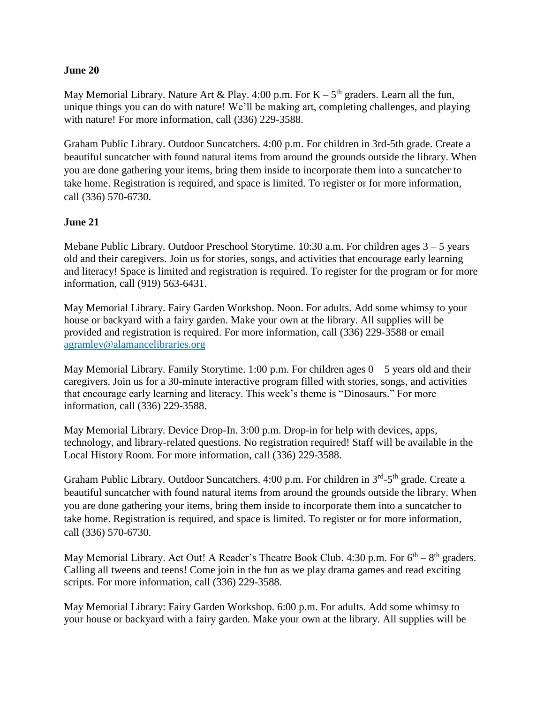#### **June 20**

May Memorial Library. Nature Art & Play. 4:00 p.m. For  $K - 5<sup>th</sup>$  graders. Learn all the fun, unique things you can do with nature! We'll be making art, completing challenges, and playing with nature! For more information, call (336) 229-3588.

Graham Public Library. Outdoor Suncatchers. 4:00 p.m. For children in 3rd-5th grade. Create a beautiful suncatcher with found natural items from around the grounds outside the library. When you are done gathering your items, bring them inside to incorporate them into a suncatcher to take home. Registration is required, and space is limited. To register or for more information, call (336) 570-6730.

#### **June 21**

Mebane Public Library. Outdoor Preschool Storytime. 10:30 a.m. For children ages 3 – 5 years old and their caregivers. Join us for stories, songs, and activities that encourage early learning and literacy! Space is limited and registration is required. To register for the program or for more information, call (919) 563-6431.

May Memorial Library. Fairy Garden Workshop. Noon. For adults. Add some whimsy to your house or backyard with a fairy garden. Make your own at the library. All supplies will be provided and registration is required. For more information, call (336) 229-3588 or email [agramley@alamancelibraries.org](mailto:agramley@alamancelibraries.org)

May Memorial Library. Family Storytime. 1:00 p.m. For children ages  $0-5$  years old and their caregivers. Join us for a 30-minute interactive program filled with stories, songs, and activities that encourage early learning and literacy. This week's theme is "Dinosaurs." For more information, call (336) 229-3588.

May Memorial Library. Device Drop-In. 3:00 p.m. Drop-in for help with devices, apps, technology, and library-related questions. No registration required! Staff will be available in the Local History Room. For more information, call (336) 229-3588.

Graham Public Library. Outdoor Suncatchers. 4:00 p.m. For children in 3<sup>rd</sup>-5<sup>th</sup> grade. Create a beautiful suncatcher with found natural items from around the grounds outside the library. When you are done gathering your items, bring them inside to incorporate them into a suncatcher to take home. Registration is required, and space is limited. To register or for more information, call (336) 570-6730.

May Memorial Library. Act Out! A Reader's Theatre Book Club.  $4:30$  p.m. For  $6<sup>th</sup> - 8<sup>th</sup>$  graders. Calling all tweens and teens! Come join in the fun as we play drama games and read exciting scripts. For more information, call (336) 229-3588.

May Memorial Library: Fairy Garden Workshop. 6:00 p.m. For adults. Add some whimsy to your house or backyard with a fairy garden. Make your own at the library. All supplies will be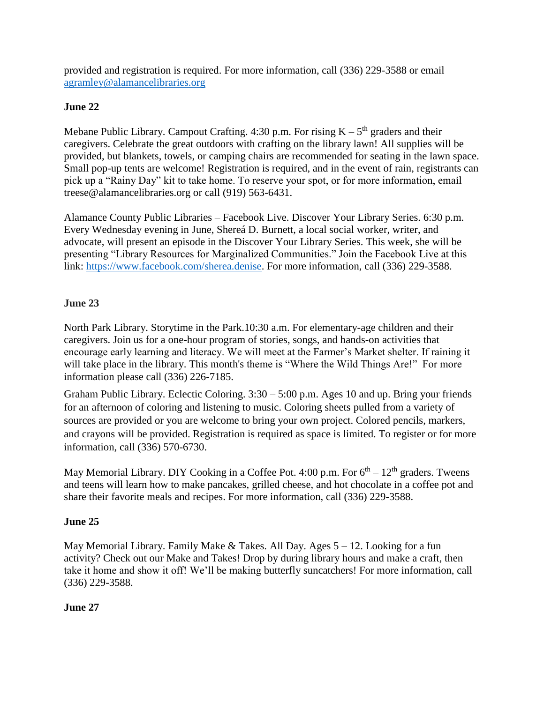provided and registration is required. For more information, call (336) 229-3588 or email [agramley@alamancelibraries.org](mailto:agramley@alamancelibraries.org)

#### **June 22**

Mebane Public Library. Campout Crafting.  $4:30$  p.m. For rising  $K - 5<sup>th</sup>$  graders and their caregivers. Celebrate the great outdoors with crafting on the library lawn! All supplies will be provided, but blankets, towels, or camping chairs are recommended for seating in the lawn space. Small pop-up tents are welcome! Registration is required, and in the event of rain, registrants can pick up a "Rainy Day" kit to take home. To reserve your spot, or for more information, email treese@alamancelibraries.org or call (919) 563-6431.

Alamance County Public Libraries – Facebook Live. Discover Your Library Series. 6:30 p.m. Every Wednesday evening in June, Shereá D. Burnett, a local social worker, writer, and advocate, will present an episode in the Discover Your Library Series. This week, she will be presenting "Library Resources for Marginalized Communities." Join the Facebook Live at this link: [https://www.facebook.com/sherea.denise.](https://www.facebook.com/sherea.denise) For more information, call (336) 229-3588.

#### **June 23**

North Park Library. Storytime in the Park.10:30 a.m. For elementary-age children and their caregivers. Join us for a one-hour program of stories, songs, and hands-on activities that encourage early learning and literacy. We will meet at the Farmer's Market shelter. If raining it will take place in the library. This month's theme is "Where the Wild Things Are!" For more information please call (336) 226-7185.

Graham Public Library. Eclectic Coloring. 3:30 – 5:00 p.m. Ages 10 and up. Bring your friends for an afternoon of coloring and listening to music. Coloring sheets pulled from a variety of sources are provided or you are welcome to bring your own project. Colored pencils, markers, and crayons will be provided. Registration is required as space is limited. To register or for more information, call (336) 570-6730.

May Memorial Library. DIY Cooking in a Coffee Pot. 4:00 p.m. For  $6<sup>th</sup> - 12<sup>th</sup>$  graders. Tweens and teens will learn how to make pancakes, grilled cheese, and hot chocolate in a coffee pot and share their favorite meals and recipes. For more information, call (336) 229-3588.

## **June 25**

May Memorial Library. Family Make  $&$  Takes. All Day. Ages  $5 - 12$ . Looking for a fun activity? Check out our Make and Takes! Drop by during library hours and make a craft, then take it home and show it off! We'll be making butterfly suncatchers! For more information, call (336) 229-3588.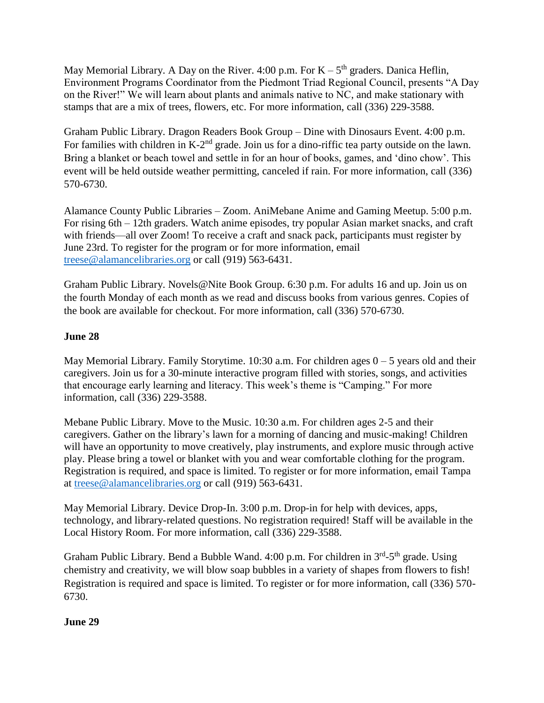May Memorial Library. A Day on the River. 4:00 p.m. For  $K - 5<sup>th</sup>$  graders. Danica Heflin, Environment Programs Coordinator from the Piedmont Triad Regional Council, presents "A Day on the River!" We will learn about plants and animals native to NC, and make stationary with stamps that are a mix of trees, flowers, etc. For more information, call (336) 229-3588.

Graham Public Library. Dragon Readers Book Group – Dine with Dinosaurs Event. 4:00 p.m. For families with children in K-2<sup>nd</sup> grade. Join us for a dino-riffic tea party outside on the lawn. Bring a blanket or beach towel and settle in for an hour of books, games, and 'dino chow'. This event will be held outside weather permitting, canceled if rain. For more information, call (336) 570-6730.

Alamance County Public Libraries – Zoom. AniMebane Anime and Gaming Meetup. 5:00 p.m. For rising 6th – 12th graders. Watch anime episodes, try popular Asian market snacks, and craft with friends—all over Zoom! To receive a craft and snack pack, participants must register by June 23rd. To register for the program or for more information, email [treese@alamancelibraries.org](mailto:treese@alamancelibraries.org) or call (919) 563-6431.

Graham Public Library. Novels@Nite Book Group. 6:30 p.m. For adults 16 and up. Join us on the fourth Monday of each month as we read and discuss books from various genres. Copies of the book are available for checkout. For more information, call (336) 570-6730.

## **June 28**

May Memorial Library. Family Storytime. 10:30 a.m. For children ages  $0 - 5$  years old and their caregivers. Join us for a 30-minute interactive program filled with stories, songs, and activities that encourage early learning and literacy. This week's theme is "Camping." For more information, call (336) 229-3588.

Mebane Public Library. Move to the Music. 10:30 a.m. For children ages 2-5 and their caregivers. Gather on the library's lawn for a morning of dancing and music-making! Children will have an opportunity to move creatively, play instruments, and explore music through active play. Please bring a towel or blanket with you and wear comfortable clothing for the program. Registration is required, and space is limited. To register or for more information, email Tampa at [treese@alamancelibraries.org](mailto:treese@alamancelibraries.org) or call (919) 563-6431.

May Memorial Library. Device Drop-In. 3:00 p.m. Drop-in for help with devices, apps, technology, and library-related questions. No registration required! Staff will be available in the Local History Room. For more information, call (336) 229-3588.

Graham Public Library. Bend a Bubble Wand. 4:00 p.m. For children in 3<sup>rd</sup>-5<sup>th</sup> grade. Using chemistry and creativity, we will blow soap bubbles in a variety of shapes from flowers to fish! Registration is required and space is limited. To register or for more information, call (336) 570- 6730.